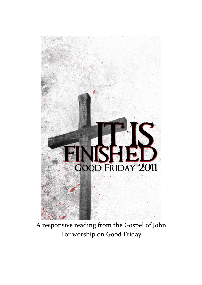

A responsive reading from the Gospel of John For worship on Good Friday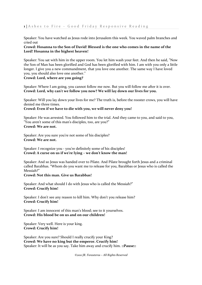Speaker: You have watched as Jesus rode into Jerusalem this week. You waved palm branches and cried out

# **Crowd: Hosanna to the Son of David! Blessed is the one who comes in the name of the Lord! Hosanna in the highest heaven!**

Speaker: You sat with him in the upper room. You let him wash your feet. And then he said, "Now the Son of Man has been glorified and God has been glorified with him. I am with you only a little longer. I give you a new commandment, that you love one another. The same way I have loved you, you should also love one another."

**Crowd: Lord, where are you going?**

Speaker: Where I am going, you cannot follow me now. But you will follow me after it is over. **Crowd: Lord, why can't we follow you now? We will lay down our lives for you.**

Speaker: Will you lay down your lives for me? The truth is, before the rooster crows, you will have denied me three times.

**Crowd: Even if we have to die with you, we will never deny you!**

Speaker: He was arrested. You followed him to the trial. And they came to you, and said to you, "You aren't some of this man's disciples, too, are you?" **Crowd: We are not.**

Speaker: Are you sure you're not some of his disciples? **Crowd: We are not.**

Speaker: I recognize you - you're definitely some of his disciples! **Crowd: A curse on us if we're lying – we don't know the man!**

Speaker: And so Jesus was handed over to Pilate. And Pilate brought forth Jesus and a criminal called Barabbas. "Whom do you want me to release for you, Barabbas or Jesus who is called the Messiah?"

**Crowd: Not this man. Give us Barabbas!**

Speaker: And what should I do with Jesus who is called the Messiah?" **Crowd: Crucify him!**

Speaker: I don't see any reason to kill him. Why don't you release him? **Crowd: Crucify him!**

Speaker: I am innocent of this man's blood; see to it yourselves. **Crowd: His blood be on us and on our children!**

Speaker: Very well. Here is your king. **Crowd: Crucify him!**

Speaker: Are you sure? Should I really crucify your King? **Crowd: We have no king but the emperor. Crucify him!** Speaker: It will be as you say. Take him away and crucify him. **::Pause::**

*©2011 JR. Forasteros – All Rights Reserved*